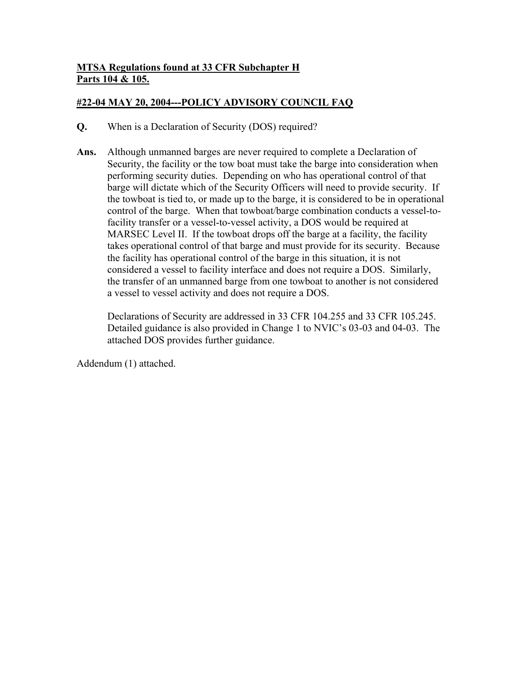# **MTSA Regulations found at 33 CFR Subchapter H Parts 104 & 105.**

## **#22-04 MAY 20, 2004---POLICY ADVISORY COUNCIL FAQ**

- **Q.** When is a Declaration of Security (DOS) required?
- **Ans.** Although unmanned barges are never required to complete a Declaration of Security, the facility or the tow boat must take the barge into consideration when performing security duties. Depending on who has operational control of that barge will dictate which of the Security Officers will need to provide security. If the towboat is tied to, or made up to the barge, it is considered to be in operational control of the barge. When that towboat/barge combination conducts a vessel-tofacility transfer or a vessel-to-vessel activity, a DOS would be required at MARSEC Level II. If the towboat drops off the barge at a facility, the facility takes operational control of that barge and must provide for its security. Because the facility has operational control of the barge in this situation, it is not considered a vessel to facility interface and does not require a DOS. Similarly, the transfer of an unmanned barge from one towboat to another is not considered a vessel to vessel activity and does not require a DOS.

Declarations of Security are addressed in 33 CFR 104.255 and 33 CFR 105.245. Detailed guidance is also provided in Change 1 to NVIC's 03-03 and 04-03. The attached DOS provides further guidance.

Addendum (1) attached.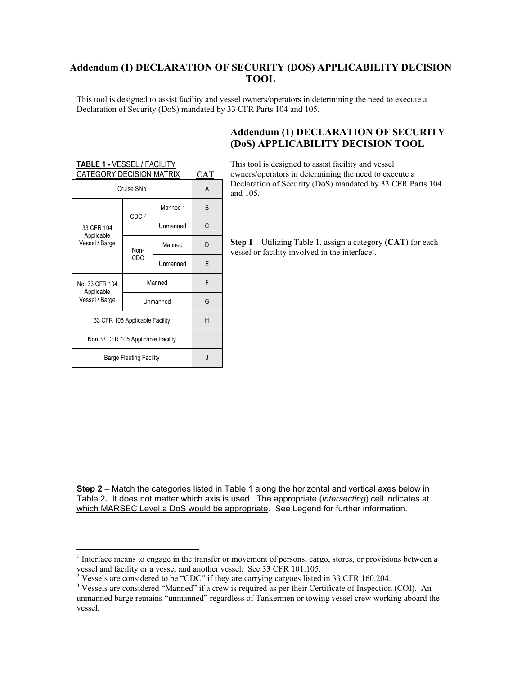#### **Addendum (1) DECLARATION OF SECURITY (DOS) APPLICABILITY DECISION TOOL**

This tool is designed to assist facility and vessel owners/operators in determining the need to execute a Declaration of Security (DoS) mandated by 33 CFR Parts 104 and 105.

### **Addendum (1) DECLARATION OF SECURITY (DoS) APPLICABILITY DECISION TOOL**

#### **TABLE 1 -** VESSEL / FACILITY CATEGORY DECISION MATRIX **CAT**

| Cruise Ship                        | A                |                     |   |
|------------------------------------|------------------|---------------------|---|
|                                    | CDC <sub>2</sub> | Manned <sup>3</sup> | B |
| 33 CFR 104<br>Applicable           |                  | Unmanned            | C |
| Vessel / Barge                     | Non-             | Manned              | D |
|                                    | CDC              | Unmanned            | F |
| Not 33 CFR 104<br>Applicable       | Manned           | F                   |   |
| Vessel / Barge                     | Unmanned         | G                   |   |
| 33 CFR 105 Applicable Facility     | н                |                     |   |
| Non 33 CFR 105 Applicable Facility |                  |                     |   |
| <b>Barge Fleeting Facility</b>     | J.               |                     |   |

 $\overline{a}$ 

This tool is designed to assist facility and vessel owners/operators in determining the need to execute a Declaration of Security (DoS) mandated by 33 CFR Parts 104 and 105.

**Step 1** – Utilizing Table 1, assign a category (**CAT**) for each vessel or facility involved in the interface<sup>[1](#page-1-0)</sup>.

**Step 2** – Match the categories listed in Table 1 along the horizontal and vertical axes below in Table 2**.** It does not matter which axis is used.The appropriate (*intersecting*) cell indicates at which MARSEC Level a DoS would be appropriate. See Legend for further information.

<span id="page-1-0"></span> $1$  Interface means to engage in the transfer or movement of persons, cargo, stores, or provisions between a vessel and facility or a vessel and another vessel. See 33 CFR 101.105.<br><sup>2</sup> Vessels are considered to be "CDC" if they are corrying expose listed

<span id="page-1-1"></span><sup>&</sup>lt;sup>2</sup> Vessels are considered to be "CDC" if they are carrying cargoes listed in 33 CFR 160.204.

<span id="page-1-2"></span><sup>&</sup>lt;sup>3</sup> Vessels are considered "Manned" if a crew is required as per their Certificate of Inspection (COI). An unmanned barge remains "unmanned" regardless of Tankermen or towing vessel crew working aboard the vessel.